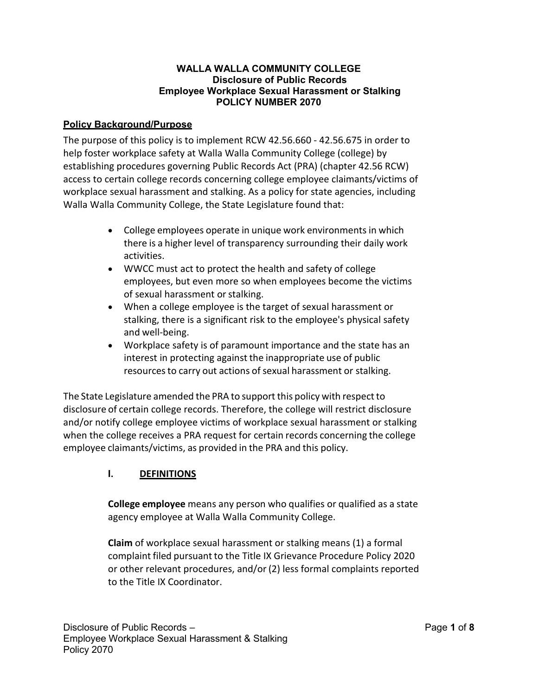### **WALLA WALLA COMMUNITY COLLEGE Disclosure of Public Records Employee Workplace Sexual Harassment or Stalking POLICY NUMBER 2070**

### **Policy Background/Purpose**

The purpose of this policy is to implement RCW 42.56.660 - 42.56.675 in order to help foster workplace safety at Walla Walla Community College (college) by establishing procedures governing Public Records Act (PRA) (chapter 42.56 RCW) access to certain college records concerning college employee claimants/victims of workplace sexual harassment and stalking. As a policy for state agencies, including Walla Walla Community College, the State Legislature found that:

- College employees operate in unique work environments in which there is a higher level of transparency surrounding their daily work activities.
- WWCC must act to protect the health and safety of college employees, but even more so when employees become the victims of sexual harassment or stalking.
- When a college employee is the target of sexual harassment or stalking, there is a significant risk to the employee's physical safety and well-being.
- Workplace safety is of paramount importance and the state has an interest in protecting against the inappropriate use of public resources to carry out actions of sexual harassment or stalking.

The State Legislature amended the PRA to support this policy with respect to disclosure of certain college records. Therefore, the college will restrict disclosure and/or notify college employee victims of workplace sexual harassment or stalking when the college receives a PRA request for certain records concerning the college employee claimants/victims, as provided in the PRA and this policy.

# **I. DEFINITIONS**

**College employee** means any person who qualifies or qualified as a state agency employee at Walla Walla Community College.

**Claim** of workplace sexual harassment or stalking means (1) a formal complaint filed pursuant to the Title IX Grievance Procedure Policy 2020 or other relevant procedures, and/or (2) less formal complaints reported to the Title IX Coordinator.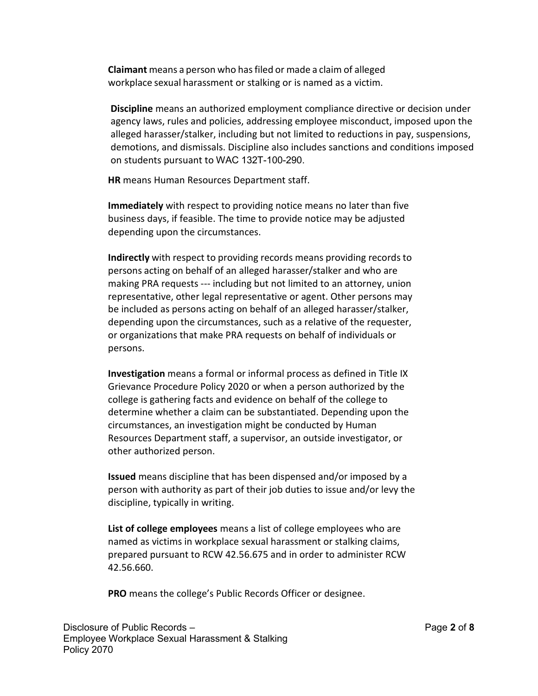**Claimant** means a person who hasfiled or made a claim of alleged workplace sexual harassment or stalking or is named as a victim.

**Discipline** means an authorized employment compliance directive or decision under agency laws, rules and policies, addressing employee misconduct, imposed upon the alleged harasser/stalker, including but not limited to reductions in pay, suspensions, demotions, and dismissals. Discipline also includes sanctions and conditions imposed on students pursuant to WAC 132T-100-290.

**HR** means Human Resources Department staff.

**Immediately** with respect to providing notice means no later than five business days, if feasible. The time to provide notice may be adjusted depending upon the circumstances.

**Indirectly** with respect to providing records means providing records to persons acting on behalf of an alleged harasser/stalker and who are making PRA requests --- including but not limited to an attorney, union representative, other legal representative or agent. Other persons may be included as persons acting on behalf of an alleged harasser/stalker, depending upon the circumstances, such as a relative of the requester, or organizations that make PRA requests on behalf of individuals or persons.

**Investigation** means a formal or informal process as defined in Title IX Grievance Procedure Policy 2020 or when a person authorized by the college is gathering facts and evidence on behalf of the college to determine whether a claim can be substantiated. Depending upon the circumstances, an investigation might be conducted by Human Resources Department staff, a supervisor, an outside investigator, or other authorized person.

**Issued** means discipline that has been dispensed and/or imposed by a person with authority as part of their job duties to issue and/or levy the discipline, typically in writing.

**List of college employees** means a list of college employees who are named as victims in workplace sexual harassment or stalking claims, prepared pursuant to RCW 42.56.675 and in order to administer RCW 42.56.660.

**PRO** means the college's Public Records Officer or designee.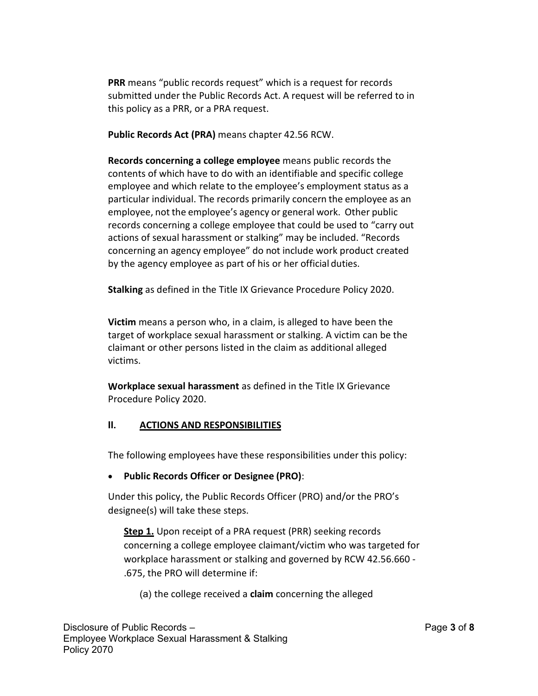**PRR** means "public records request" which is a request for records submitted under the Public Records Act. A request will be referred to in this policy as a PRR, or a PRA request.

**Public Records Act (PRA)** means chapter 42.56 RCW.

**Records concerning a college employee** means public records the contents of which have to do with an identifiable and specific college employee and which relate to the employee's employment status as a particular individual. The records primarily concern the employee as an employee, not the employee's agency or general work. Other public records concerning a college employee that could be used to "carry out actions of sexual harassment or stalking" may be included. "Records concerning an agency employee" do not include work product created by the agency employee as part of his or her official duties.

**Stalking** as defined in the Title IX Grievance Procedure Policy 2020.

**Victim** means a person who, in a claim, is alleged to have been the target of workplace sexual harassment or stalking. A victim can be the claimant or other persons listed in the claim as additional alleged victims.

**Workplace sexual harassment** as defined in the Title IX Grievance Procedure Policy 2020.

# **II. ACTIONS AND RESPONSIBILITIES**

The following employees have these responsibilities under this policy:

# • **Public Records Officer or Designee (PRO)**:

Under this policy, the Public Records Officer (PRO) and/or the PRO's designee(s) will take these steps.

**Step 1.** Upon receipt of a PRA request (PRR) seeking records concerning a college employee claimant/victim who was targeted for workplace harassment or stalking and governed by RCW 42.56.660 - .675, the PRO will determine if:

(a) the college received a **claim** concerning the alleged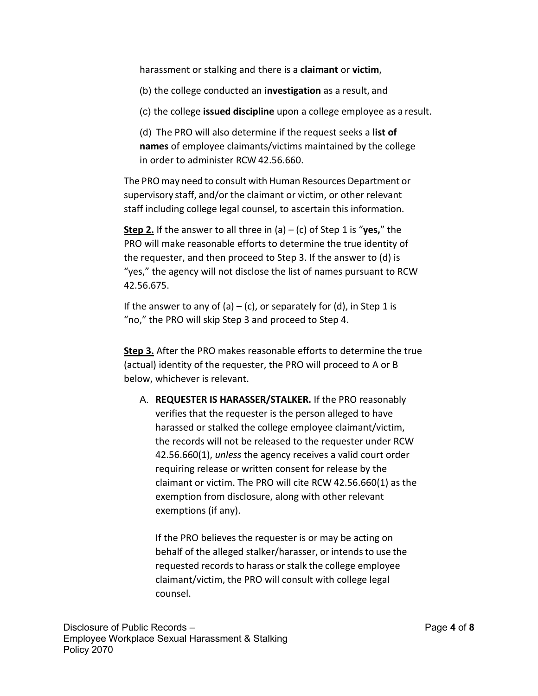harassment or stalking and there is a **claimant** or **victim**,

(b) the college conducted an **investigation** as a result, and

(c) the college **issued discipline** upon a college employee as a result.

(d) The PRO will also determine if the request seeks a **list of names** of employee claimants/victims maintained by the college in order to administer RCW 42.56.660.

The PROmay need to consult with Human Resources Department or supervisory staff, and/or the claimant or victim, or other relevant staff including college legal counsel, to ascertain this information.

**Step 2.** If the answer to all three in (a) – (c) of Step 1 is "**yes,**" the PRO will make reasonable efforts to determine the true identity of the requester, and then proceed to Step 3. If the answer to (d) is "yes," the agency will not disclose the list of names pursuant to RCW 42.56.675.

If the answer to any of (a) – (c), or separately for (d), in Step 1 is "no," the PRO will skip Step 3 and proceed to Step 4.

**Step 3.** After the PRO makes reasonable efforts to determine the true (actual) identity of the requester, the PRO will proceed to A or B below, whichever is relevant.

A. **REQUESTER IS HARASSER/STALKER.** If the PRO reasonably verifies that the requester is the person alleged to have harassed or stalked the college employee claimant/victim, the records will not be released to the requester under RCW 42.56.660(1), *unless* the agency receives a valid court order requiring release or written consent for release by the claimant or victim. The PRO will cite RCW 42.56.660(1) as the exemption from disclosure, along with other relevant exemptions (if any).

If the PRO believes the requester is or may be acting on behalf of the alleged stalker/harasser, or intends to use the requested records to harass or stalk the college employee claimant/victim, the PRO will consult with college legal counsel.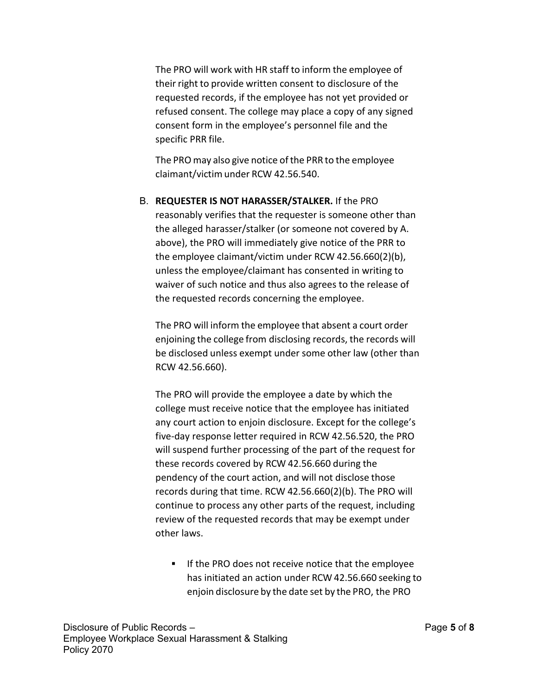The PRO will work with HR staff to inform the employee of their right to provide written consent to disclosure of the requested records, if the employee has not yet provided or refused consent. The college may place a copy of any signed consent form in the employee's personnel file and the specific PRR file.

The PRO may also give notice of the PRR to the employee claimant/victim under RCW 42.56.540.

B. **REQUESTER IS NOT HARASSER/STALKER.** If the PRO reasonably verifies that the requester is someone other than the alleged harasser/stalker (or someone not covered by A. above), the PRO will immediately give notice of the PRR to the employee claimant/victim under RCW 42.56.660(2)(b), unless the employee/claimant has consented in writing to waiver of such notice and thus also agrees to the release of the requested records concerning the employee.

The PRO will inform the employee that absent a court order enjoining the college from disclosing records, the records will be disclosed unless exempt under some other law (other than RCW 42.56.660).

The PRO will provide the employee a date by which the college must receive notice that the employee has initiated any court action to enjoin disclosure. Except for the college's five-day response letter required in RCW 42.56.520, the PRO will suspend further processing of the part of the request for these records covered by RCW 42.56.660 during the pendency of the court action, and will not disclose those records during that time. RCW 42.56.660(2)(b). The PRO will continue to process any other parts of the request, including review of the requested records that may be exempt under other laws.

**IF the PRO does not receive notice that the employee** has initiated an action under RCW 42.56.660 seeking to enjoin disclosure by the date set by the PRO, the PRO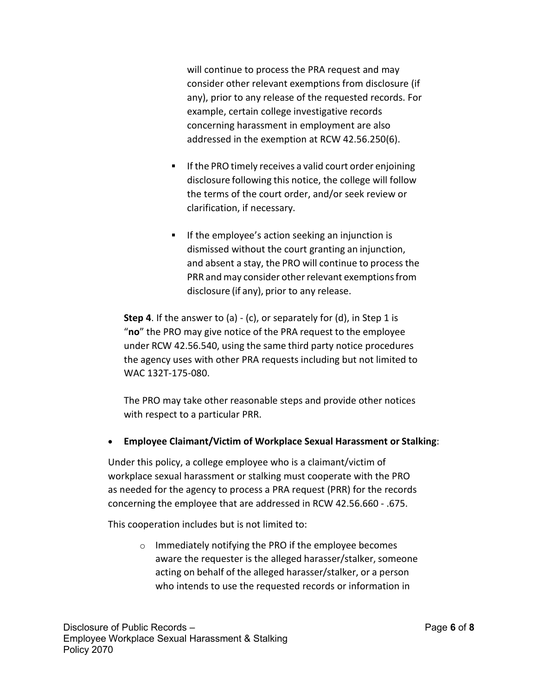will continue to process the PRA request and may consider other relevant exemptions from disclosure (if any), prior to any release of the requested records. For example, certain college investigative records concerning harassment in employment are also addressed in the exemption at RCW 42.56.250(6).

- **If the PRO timely receives a valid court order enjoining** disclosure following this notice, the college will follow the terms of the court order, and/or seek review or clarification, if necessary.
- **If the employee's action seeking an injunction is** dismissed without the court granting an injunction, and absent a stay, the PRO will continue to process the PRR and may consider other relevant exemptions from disclosure (if any), prior to any release.

**Step 4**. If the answer to (a) - (c), or separately for (d), in Step 1 is "**no**" the PRO may give notice of the PRA request to the employee under RCW 42.56.540, using the same third party notice procedures the agency uses with other PRA requests including but not limited to WAC 132T-175-080.

The PRO may take other reasonable steps and provide other notices with respect to a particular PRR.

• **Employee Claimant/Victim of Workplace Sexual Harassment or Stalking**:

Under this policy, a college employee who is a claimant/victim of workplace sexual harassment or stalking must cooperate with the PRO as needed for the agency to process a PRA request (PRR) for the records concerning the employee that are addressed in RCW 42.56.660 - .675.

This cooperation includes but is not limited to:

o Immediately notifying the PRO if the employee becomes aware the requester is the alleged harasser/stalker, someone acting on behalf of the alleged harasser/stalker, or a person who intends to use the requested records or information in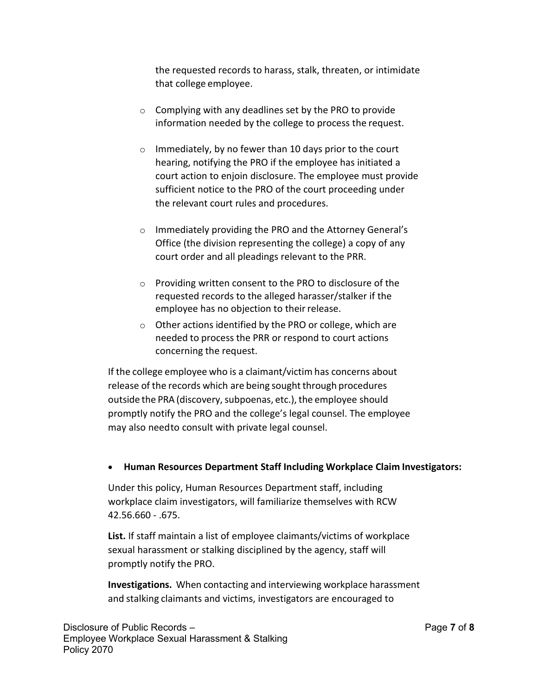the requested records to harass, stalk, threaten, or intimidate that college employee.

- $\circ$  Complying with any deadlines set by the PRO to provide information needed by the college to process the request.
- $\circ$  Immediately, by no fewer than 10 days prior to the court hearing, notifying the PRO if the employee has initiated a court action to enjoin disclosure. The employee must provide sufficient notice to the PRO of the court proceeding under the relevant court rules and procedures.
- o Immediately providing the PRO and the Attorney General's Office (the division representing the college) a copy of any court order and all pleadings relevant to the PRR.
- o Providing written consent to the PRO to disclosure of the requested records to the alleged harasser/stalker if the employee has no objection to their release.
- o Other actions identified by the PRO or college, which are needed to process the PRR or respond to court actions concerning the request.

If the college employee who is a claimant/victim has concerns about release of the records which are being sought through procedures outside the PRA (discovery, subpoenas, etc.), the employee should promptly notify the PRO and the college's legal counsel. The employee may also needto consult with private legal counsel.

# • **Human Resources Department Staff Including Workplace Claim Investigators:**

Under this policy, Human Resources Department staff, including workplace claim investigators, will familiarize themselves with RCW 42.56.660 - .675.

**List.** If staff maintain a list of employee claimants/victims of workplace sexual harassment or stalking disciplined by the agency, staff will promptly notify the PRO.

**Investigations.** When contacting and interviewing workplace harassment and stalking claimants and victims, investigators are encouraged to